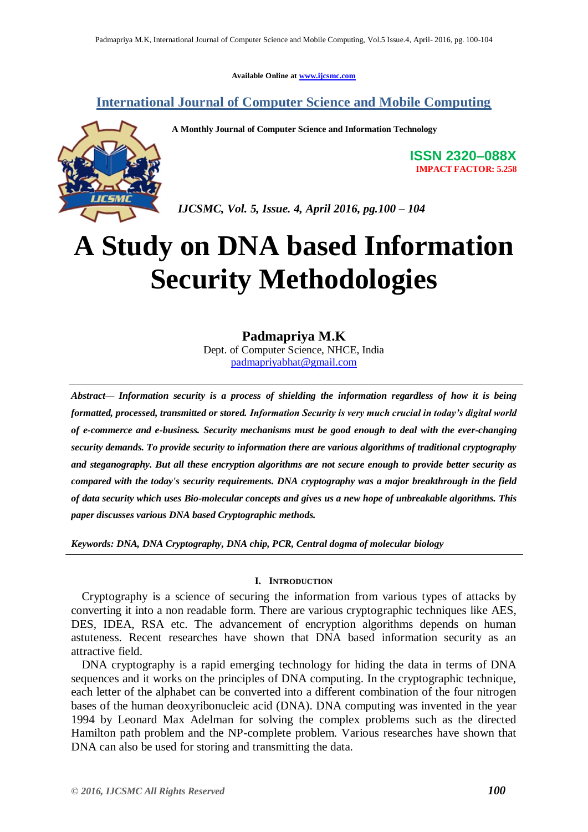**Available Online at [www.ijcsmc.com](http://www.ijcsmc.com/)**

# **International Journal of Computer Science and Mobile Computing**

**A Monthly Journal of Computer Science and Information Technology**



**ISSN 2320–088X IMPACT FACTOR: 5.258**

 *IJCSMC, Vol. 5, Issue. 4, April 2016, pg.100 – 104*

# **A Study on DNA based Information Security Methodologies**

## **Padmapriya M.K**

Dept. of Computer Science, NHCE, India [padmapriyabhat@gmail.com](mailto:padmapriyabhat@gmail.com)

*Abstract— Information security is a process of shielding the information regardless of how it is being formatted, processed, transmitted or stored. Information Security is very much crucial in today's digital world of e-commerce and e-business. Security mechanisms must be good enough to deal with the ever-changing security demands. To provide security to information there are various algorithms of traditional cryptography and steganography. But all these encryption algorithms are not secure enough to provide better security as compared with the today's security requirements. DNA cryptography was a major breakthrough in the field of data security which uses Bio-molecular concepts and gives us a new hope of unbreakable algorithms. This paper discusses various DNA based Cryptographic methods.*

*Keywords: DNA, DNA Cryptography, DNA chip, PCR, Central dogma of molecular biology*

## **I. INTRODUCTION**

Cryptography is a science of securing the information from various types of attacks by converting it into a non readable form. There are various cryptographic techniques like AES, DES, IDEA, RSA etc. The advancement of encryption algorithms depends on human astuteness. Recent researches have shown that DNA based information security as an attractive field.

DNA cryptography is a rapid emerging technology for hiding the data in terms of DNA sequences and it works on the principles of DNA computing. In the cryptographic technique, each letter of the alphabet can be converted into a different combination of the four nitrogen bases of the human deoxyribonucleic acid (DNA). DNA computing was invented in the year 1994 by Leonard Max Adelman for solving the complex problems such as the directed Hamilton path problem and the NP-complete problem. Various researches have shown that DNA can also be used for storing and transmitting the data.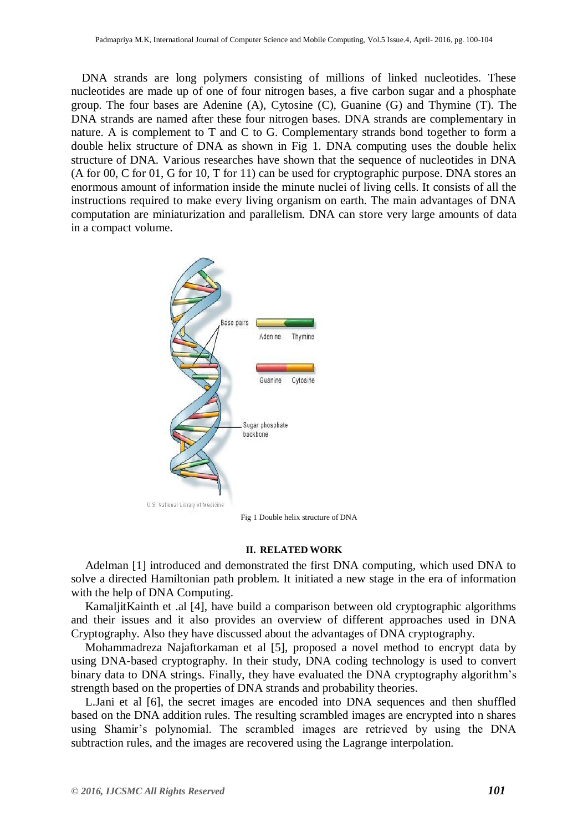DNA strands are long polymers consisting of millions of linked nucleotides. These nucleotides are made up of one of four nitrogen bases, a five carbon sugar and a phosphate group. The four bases are Adenine (A), Cytosine (C), Guanine (G) and Thymine (T). The DNA strands are named after these four nitrogen bases. DNA strands are complementary in nature. A is complement to T and C to G. Complementary strands bond together to form a double helix structure of DNA as shown in Fig 1. DNA computing uses the double helix structure of DNA. Various researches have shown that the sequence of nucleotides in DNA (A for 00, C for 01, G for 10, T for 11) can be used for cryptographic purpose. DNA stores an enormous amount of information inside the minute nuclei of living cells. It consists of all the instructions required to make every living organism on earth. The main advantages of DNA computation are miniaturization and parallelism. DNA can store very large amounts of data in a compact volume.



Fig 1 Double helix structure of DNA

### **II. RELATED WORK**

Adelman [1] introduced and demonstrated the first DNA computing, which used DNA to solve a directed Hamiltonian path problem. It initiated a new stage in the era of information with the help of DNA Computing.

KamaljitKainth et .al [4], have build a comparison between old cryptographic algorithms and their issues and it also provides an overview of different approaches used in DNA Cryptography. Also they have discussed about the advantages of DNA cryptography.

Mohammadreza Najaftorkaman et al [5], proposed a novel method to encrypt data by using DNA-based cryptography. In their study, DNA coding technology is used to convert binary data to DNA strings. Finally, they have evaluated the DNA cryptography algorithm's strength based on the properties of DNA strands and probability theories.

L.Jani et al [6], the secret images are encoded into DNA sequences and then shuffled based on the DNA addition rules. The resulting scrambled images are encrypted into n shares using Shamir's polynomial. The scrambled images are retrieved by using the DNA subtraction rules, and the images are recovered using the Lagrange interpolation.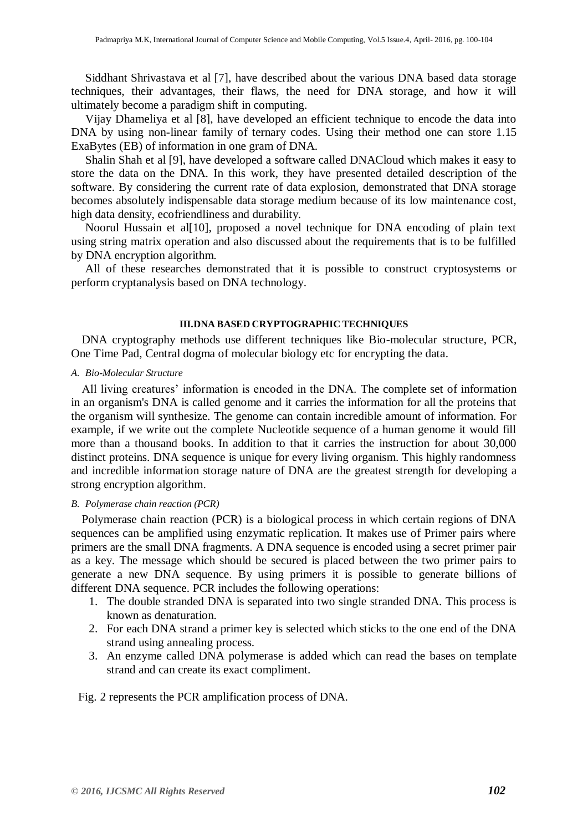Siddhant Shrivastava et al [7], have described about the various DNA based data storage techniques, their advantages, their flaws, the need for DNA storage, and how it will ultimately become a paradigm shift in computing.

Vijay Dhameliya et al [8], have developed an efficient technique to encode the data into DNA by using non-linear family of ternary codes. Using their method one can store 1.15 ExaBytes (EB) of information in one gram of DNA.

Shalin Shah et al [9], have developed a software called DNACloud which makes it easy to store the data on the DNA. In this work, they have presented detailed description of the software. By considering the current rate of data explosion, demonstrated that DNA storage becomes absolutely indispensable data storage medium because of its low maintenance cost, high data density, ecofriendliness and durability.

Noorul Hussain et al[10], proposed a novel technique for DNA encoding of plain text using string matrix operation and also discussed about the requirements that is to be fulfilled by DNA encryption algorithm.

All of these researches demonstrated that it is possible to construct cryptosystems or perform cryptanalysis based on DNA technology.

### **III.DNA BASED CRYPTOGRAPHIC TECHNIQUES**

DNA cryptography methods use different techniques like Bio-molecular structure, PCR, One Time Pad, Central dogma of molecular biology etc for encrypting the data.

## *A. Bio-Molecular Structure*

All living creatures' information is encoded in the DNA. The complete set of information in an organism's DNA is called genome and it carries the information for all the proteins that the organism will synthesize. The genome can contain incredible amount of information. For example, if we write out the complete Nucleotide sequence of a human genome it would fill more than a thousand books. In addition to that it carries the instruction for about 30,000 distinct proteins. DNA sequence is unique for every living organism. This highly randomness and incredible information storage nature of DNA are the greatest strength for developing a strong encryption algorithm.

## *B. Polymerase chain reaction (PCR)*

Polymerase chain reaction (PCR) is a biological process in which certain regions of DNA sequences can be amplified using enzymatic replication. It makes use of Primer pairs where primers are the small DNA fragments. A DNA sequence is encoded using a secret primer pair as a key. The message which should be secured is placed between the two primer pairs to generate a new DNA sequence. By using primers it is possible to generate billions of different DNA sequence. PCR includes the following operations:

- 1. The double stranded DNA is separated into two single stranded DNA. This process is known as denaturation.
- 2. For each DNA strand a primer key is selected which sticks to the one end of the DNA strand using annealing process.
- 3. An enzyme called DNA polymerase is added which can read the bases on template strand and can create its exact compliment.

Fig. 2 represents the PCR amplification process of DNA.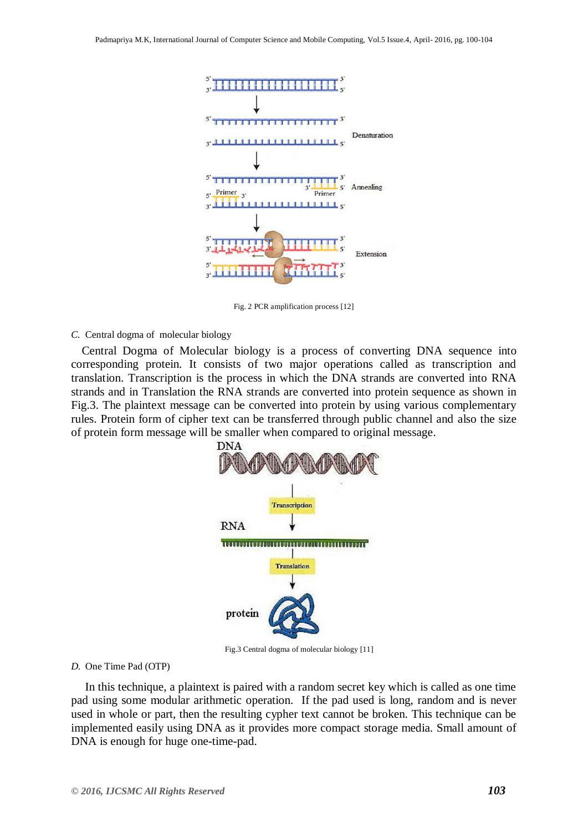

Fig. 2 PCR amplification process [12]

*C.* Central dogma of molecular biology

Central Dogma of Molecular biology is a process of converting DNA sequence into corresponding protein. It consists of two major operations called as transcription and translation. Transcription is the process in which the DNA strands are converted into RNA strands and in Translation the RNA strands are converted into protein sequence as shown in Fig.3. The plaintext message can be converted into protein by using various complementary rules. Protein form of cipher text can be transferred through public channel and also the size of protein form message will be smaller when compared to original message.



Fig.3 Central dogma of molecular biology [11]

## *D.* One Time Pad (OTP)

In this technique, a plaintext is paired with a random secret key which is called as one time pad using some modular arithmetic operation. If the pad used is long, random and is never used in whole or part, then the resulting cypher text cannot be broken. This technique can be implemented easily using DNA as it provides more compact storage media. Small amount of DNA is enough for huge one-time-pad.